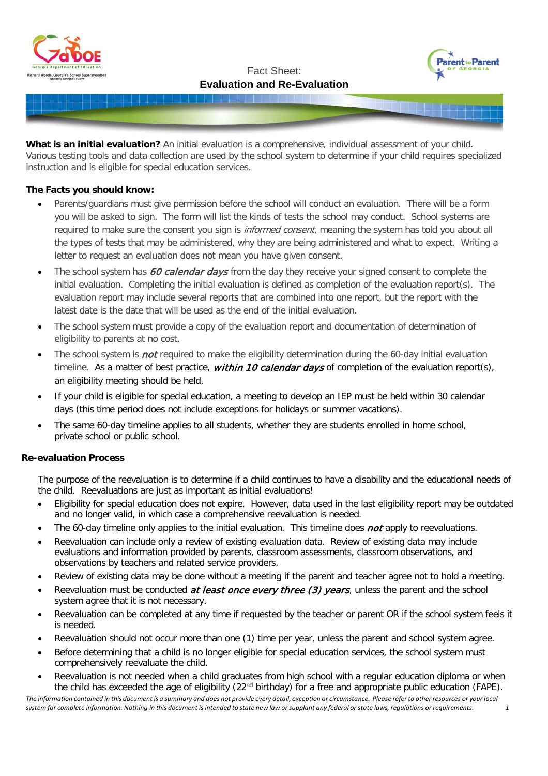





**What is an initial evaluation?** An initial evaluation is a comprehensive, individual assessment of your child. Various testing tools and data collection are used by the school system to determine if your child requires specialized instruction and is eligible for special education services.

### **The Facts you should know:**

- Parents/guardians must give permission before the school will conduct an evaluation. There will be a form you will be asked to sign. The form will list the kinds of tests the school may conduct. School systems are required to make sure the consent you sign is *informed consent*, meaning the system has told you about all the types of tests that may be administered, why they are being administered and what to expect. Writing a letter to request an evaluation does not mean you have given consent.
- The school system has 60 calendar days from the day they receive your signed consent to complete the initial evaluation. Completing the initial evaluation is defined as completion of the evaluation report(s). The evaluation report may include several reports that are combined into one report, but the report with the latest date is the date that will be used as the end of the initial evaluation.
- The school system must provide a copy of the evaluation report and documentation of determination of eligibility to parents at no cost.
- The school system is *not* required to make the eligibility determination during the 60-day initial evaluation timeline. As a matter of best practice, within 10 calendar days of completion of the evaluation report(s), an eligibility meeting should be held.
- If your child is eligible for special education, a meeting to develop an IEP must be held within 30 calendar days (this time period does not include exceptions for holidays or summer vacations).
- The same 60-day timeline applies to all students, whether they are students enrolled in home school, private school or public school.

#### **Re-evaluation Process**

The purpose of the reevaluation is to determine if a child continues to have a disability and the educational needs of the child. Reevaluations are just as important as initial evaluations!

- Eligibility for special education does not expire. However, data used in the last eligibility report may be outdated and no longer valid, in which case a comprehensive reevaluation is needed.
- The 60-day timeline only applies to the initial evaluation. This timeline does not apply to reevaluations.
- Reevaluation can include only a review of existing evaluation data. Review of existing data may include evaluations and information provided by parents, classroom assessments, classroom observations, and observations by teachers and related service providers.
- Review of existing data may be done without a meeting if the parent and teacher agree not to hold a meeting.
- Reevaluation must be conducted *at least once every three (3) years*, unless the parent and the school system agree that it is not necessary.
- Reevaluation can be completed at any time if requested by the teacher or parent OR if the school system feels it is needed.
- Reevaluation should not occur more than one (1) time per year, unless the parent and school system agree.
- Before determining that a child is no longer eligible for special education services, the school system must comprehensively reevaluate the child.
- Reevaluation is not needed when a child graduates from high school with a regular education diploma or when the child has exceeded the age of eligibility (22<sup>nd</sup> birthday) for a free and appropriate public education (FAPE).

The information contained in this document is a summary and does not provide every detail, exception or circumstance. Please refer to other resources or your local system for complete information. Nothing in this document is intended to state new law or supplant any federal or state laws, regulations or requirements. 1